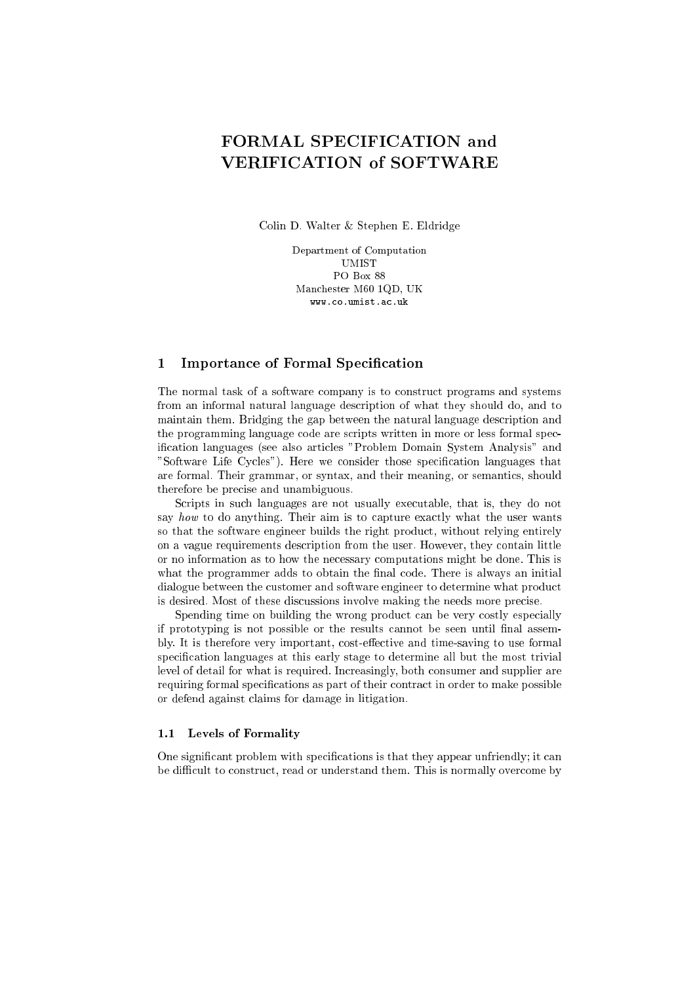# FORMAL SPECIFICATION and VERIFICATION of SOFTWARE

Colin D. Walter & Stephen E. Eldridge

Department of Computation UMIST PO Box 88 Man
hester M60 1QD, UK www.co.umist.ac.uk

## 1 Importance of Formal Specification

The normal task of a software company is to construct programs and systems from an informal natural language des
ription of what they should do, and to maintain them. Bridging the gap between the natural language des
ription and the programming language code are scripts written in more or less formal specification languages (see also articles "Problem Domain System Analysis" and "Software Life Cycles"). Here we consider those specification languages that are formal. Their grammar, or syntax, and their meaning, or semantics, should therefore be pre
ise and unambiguous.

Scripts in such languages are not usually executable, that is, they do not say how to do anything. Their aim is to capture exactly what the user wants so that the software engineer builds the right produ
t, without relying entirely on a vague requirements description from the user. However, they contain little or no information as to how the ne
essary omputations might be done. This is what the programmer adds to obtain the final code. There is always an initial dialogue between the customer and software engineer to determine what product is desired. Most of these discussions involve making the needs more precise.

Spending time on building the wrong product can be very costly especially if prototyping is not possible or the results annot be seen until nal assembly. It is therefore very important, cost-effective and time-saving to use formal specification languages at this early stage to determine all but the most trivial level of detail for what is required. Increasingly, both consumer and supplier are requiring formal specifications as part of their contract in order to make possible or defend against laims for damage in litigation.

#### 1.1 Levels of Formality

One significant problem with specifications is that they appear unfriendly; it can be difficult to construct, read or understand them. This is normally overcome by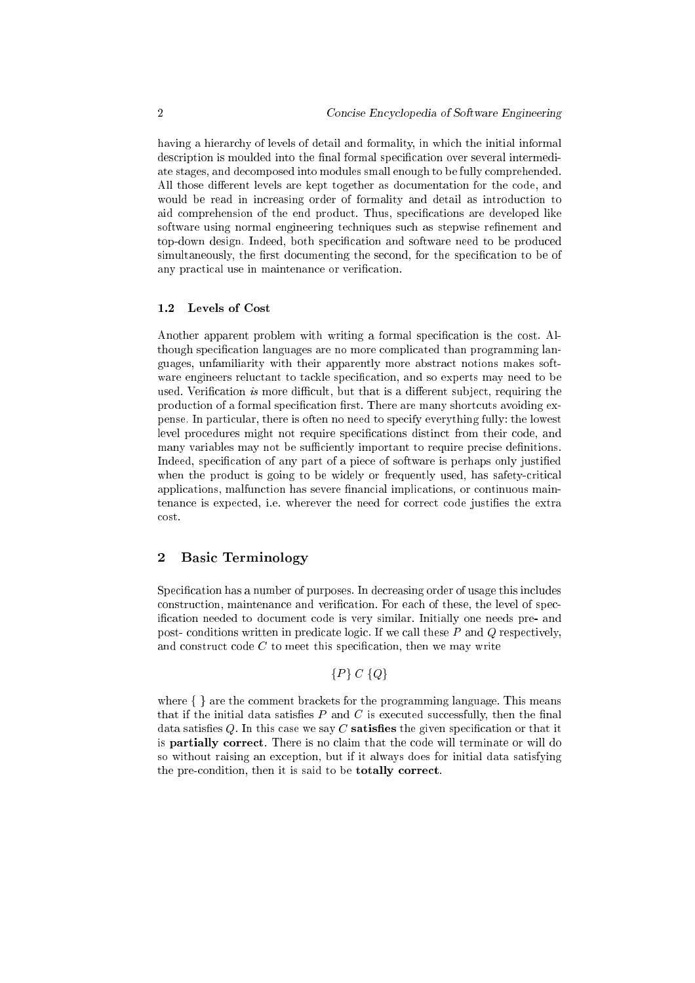having a hierarchy of levels of detail and formality, in which the initial informal description is moulded into the final formal specification over several intermediate stages, and de
omposed into modules small enough to be fully omprehended. All those different levels are kept together as documentation for the code, and would be read in increasing order of formality and detail as introduction to aid comprehension of the end product. Thus, specifications are developed like software using normal engineering techniques such as stepwise refinement and top-down design. Indeed, both specification and software need to be produced simultaneously, the first documenting the second, for the specification to be of any practical use in maintenance or verification.

#### 1.2 Levels of Cost

Another apparent problem with writing a formal specification is the cost. Although specification languages are no more complicated than programming languages, unfamiliarity with their apparently more abstra
t notions makes software engineers reluctant to tackle specification, and so experts may need to be used. Verification is more difficult, but that is a different subject, requiring the production of a formal specification first. There are many shortcuts avoiding expense. In parti
ular, there is often no need to spe
ify everything fully: the lowest level procedures might not require specifications distinct from their code, and many variables may not be sufficiently important to require precise definitions. Indeed, specification of any part of a piece of software is perhaps only justified when the product is going to be widely or frequently used, has safety-critical applications, malfunction has severe financial implications, or continuous maintenance is expected, i.e. wherever the need for correct code justifies the extra cost.

### <sup>2</sup> Basi Terminology

Specification has a number of purposes. In decreasing order of usage this includes construction, maintenance and verification. For each of these, the level of specification needed to document code is very similar. Initially one needs pre- and post-conditions written in predicate logic. If we call these  $P$  and  $Q$  respectively, and construct code  $C$  to meet this specification, then we may write

$$
\{P\} \ C \ \{Q\}
$$

where  $\{\}$  are the comment brackets for the programming language. This means that if the initial data satisfies  $P$  and  $C$  is executed successfully, then the final data satisfies  $Q$ . In this case we say  $C$  satisfies the given specification or that it is **partially correct**. There is no claim that the code will terminate or will do so without raising an ex
eption, but if it always does for initial data satisfying the pre-condition, then it is said to be **totally correct**.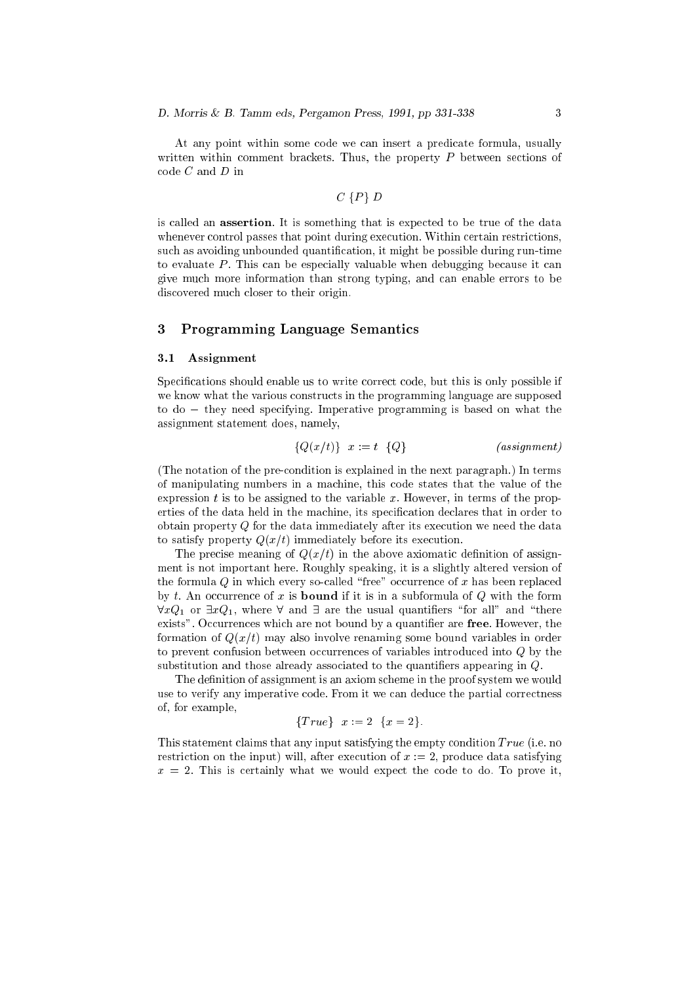At any point within some ode we an insert a predi
ate formula, usually written within comment brackets. Thus, the property  $P$  between sections of  $code C$  and  $D$  in

#### $C \{P\} D$

is called an **assertion**. It is something that is expected to be true of the data whenever control passes that point during execution. Within certain restrictions, such as avoiding unbounded quantification, it might be possible during run-time to evaluate P. This can be especially valuable when debugging because it can give mu
h more information than strong typing, and an enable errors to be dis
overed mu
h loser to their origin.

#### <sup>3</sup> Programming Language Semanti
s

#### $3.1$ **Assignment**

Specifications should enable us to write correct code, but this is only possible if we know what the various onstru
ts in the programming language are supposed to do – they need specifying. Imperative programming is based on what the assignment statement does, namely,

$$
\{Q(x/t)\} \quad x := t \quad \{Q\} \tag{assignment}
$$

(The notation of the preondition is explained in the next paragraph.) In terms of manipulating numbers in a ma
hine, this ode states that the value of the expression t is to be assigned to the variable x. However, in terms of the properties of the data held in the machine, its specification declares that in order to obtain property  $Q$  for the data immediately after its execution we need the data to satisfy property  $Q(x/t)$  immediately before its execution.

The precise meaning of  $Q(x/t)$  in the above axiomatic definition of assignment is not important here. Roughly speaking, it is a slightly altered version of the formula  $Q$  in which every so-called "free" occurrence of x has been replaced by t. An occurrence of x is **bound** if it is in a subformula of  $Q$  with the form  $\forall x Q_1$  or  $\exists x Q_1$ , where  $\forall$  and  $\exists$  are the usual quantifiers "for all" and "there exists". Occurrences which are not bound by a quantifier are free. However, the formation of  $Q(x/t)$  may also involve renaming some bound variables in order to prevent confusion between occurrences of variables introduced into Q by the substitution and those already associated to the quantifiers appearing in Q.

The definition of assignment is an axiom scheme in the proof system we would use to verify any imperative code. From it we can deduce the partial correctness of, for example,

$$
\{True\} \ \ x := 2 \ \ \{x = 2\}.
$$

This statement claims that any input satisfying the empty condition  $True$  (i.e. no restriction on the input) will, after execution of  $x := 2$ , produce data satisfying  $x = 2$ . This is certainly what we would expect the code to do. To prove it,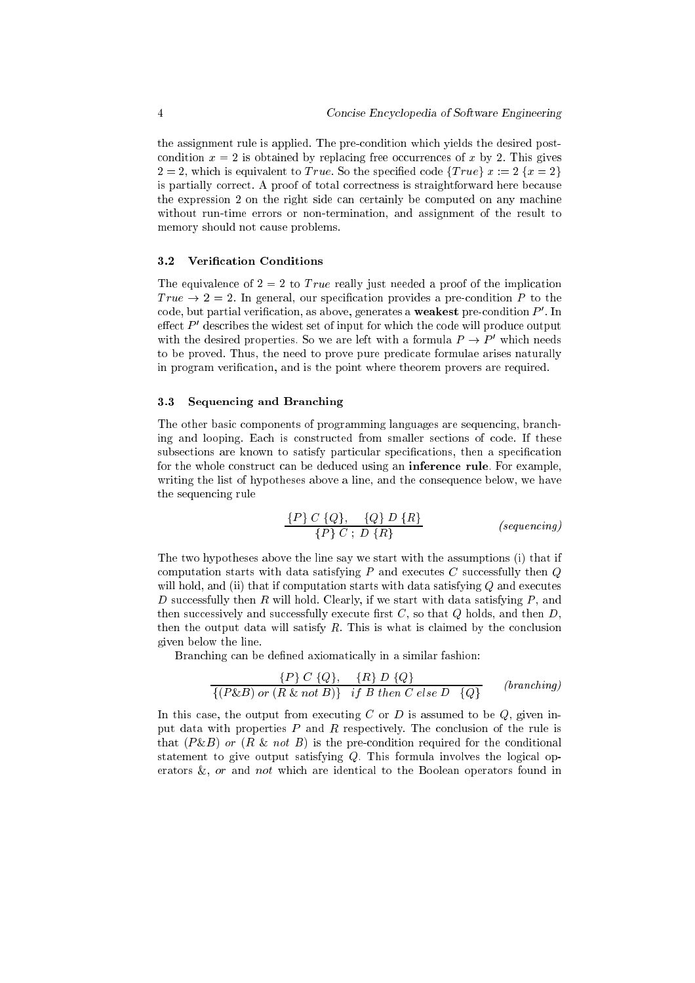the assignment rule is applied. The preondition whi
h yields the desired post condition  $x = 2$  is obtained by replacing free occurrences of x by 2. This gives  $2 = 2$ , which is equivalent to *True*. So the specified code  $\{True\} x := 2 \{x = 2\}$ is partially correct. A proof of total correctness is straightforward here because the expression 2 on the right side can certainly be computed on any machine without run-time errors or non-termination, and assignment of the result to memory should not ause problems.

#### 3.2 Verification Conditions

The equivalence of  $2 = 2$  to True really just needed a proof of the implication True  $\rightarrow$  2 = 2. In general, our specification provides a pre-condition P to the code, but partial verification, as above, generates a **weakest** pre-condition  $F$  . In effect  $\boldsymbol{r}_-$  describes the widest set of input for which the code will produce output with the desired properties. So we are left with a formula  $P \to P'$  which needs to be proved. Thus, the need to prove pure predicate formulae arises naturally in program verification, and is the point where theorem provers are required.

#### 3.3 Sequen
ing and Bran
hing

The other basic components of programming languages are sequencing, branching and looping. Each is constructed from smaller sections of code. If these subsections are known to satisfy particular specifications, then a specification for the whole construct can be deduced using an **inference rule**. For example, writing the list of hypotheses above a line, and the consequence below, we have the sequen
ing rule

$$
\frac{\{P\} C \{Q\}, \{Q\} D \{R\}}{\{P\} C \, ; \, D \{R\}}
$$
\n(sequencing)

The two hypotheses above the line say we start with the assumptions (i) that if computation starts with data satisfying  $P$  and executes  $C$  successfully then  $Q$ will hold, and (ii) that if computation starts with data satisfying  $Q$  and executes D successfully then R will hold. Clearly, if we start with data satisfying  $P$ , and then successively and successfully execute first  $C$ , so that  $Q$  holds, and then  $D$ , then the output data will satisfy  $R$ . This is what is claimed by the conclusion given below the line.

Branching can be defined axiomatically in a similar fashion:

$$
\frac{\{P\} C \{Q\}, \{R\} D \{Q\}}{\{(P\&B) \text{ or } (R \& not B)\} \quad \text{if } B \text{ then } C \text{ else } D \quad \{Q\}} \qquad \text{(branching)}
$$

In this case, the output from executing  $C$  or  $D$  is assumed to be  $Q$ , given input data with properties  $P$  and  $R$  respectively. The conclusion of the rule is that  $(P\&B)$  or  $(R \& not B)$  is the pre-condition required for the conditional statement to give output satisfying  $Q$ . This formula involves the logical operators  $\&$ , or and not which are identical to the Boolean operators found in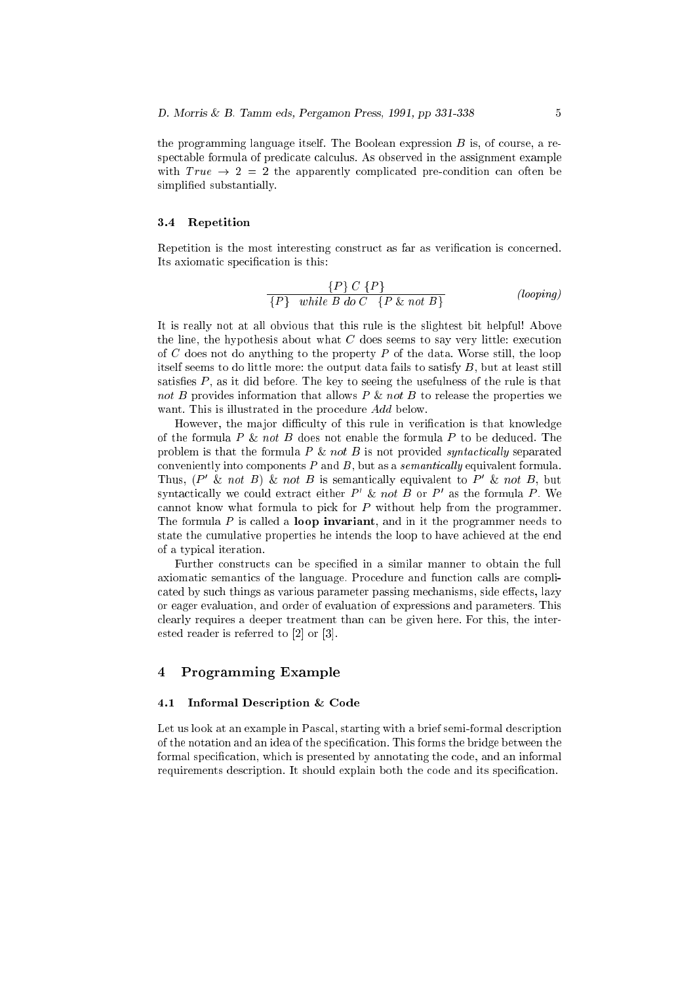the programming language itself. The Boolean expression  $B$  is, of course, a respectable formula of predicate calculus. As observed in the assignment example with  $True \rightarrow 2 = 2$  the apparently complicated pre-condition can often be simplified substantially.

#### 3.4 Repetition

Repetition is the most interesting construct as far as verification is concerned. Its axiomatic specification is this:

$$
\frac{\{P\} \ C \ \{P\}}{\{P\} \ \text{while } B \ \text{do } C \quad \{P \ \& \ \text{not } B\}} \qquad \qquad \text{(looping)}
$$

It is really not at all obvious that this rule is the slightest bit helpful! Above the line, the hypothesis about what  $C$  does seems to say very little: execution of C does not do anything to the property  $P$  of the data. Worse still, the loop itself seems to do little more: the output data fails to satisfy  $B$ , but at least still satisfies  $P$ , as it did before. The key to seeing the usefulness of the rule is that not B provides information that allows  $P \& not B$  to release the properties we want. This is illustrated in the procedure Add below.

However, the major difficulty of this rule in verification is that knowledge of the formula  $P \& not B$  does not enable the formula  $P$  to be deduced. The problem is that the formula  $P \& not B$  is not provided syntactically separated conveniently into components  $P$  and  $B$ , but as a *semantically* equivalent formula. Thus,  $(P' \& not B) \& not B$  is semantically equivalent to P' & not B, but syntactically we could extract either  $P$   $\alpha$  *not B* or  $P$  as the formula  $P$ . We annot know what formula to pi
k for P without help from the programmer. The formula  $P$  is called a **loop invariant**, and in it the programmer needs to state the umulative properties he intends the loop to have a
hieved at the end of a typi
al iteration.

Further constructs can be specified in a similar manner to obtain the full axiomatic semantics of the language. Procedure and function calls are complicated by such things as various parameter passing mechanisms, side effects, lazy or eager evaluation, and order of evaluation of expressions and parameters. This clearly requires a deeper treatment than can be given here. For this, the interested reader is referred to  $[2]$  or  $[3]$ .

## <sup>4</sup> Programming Example

#### Informal Description & Code  $4.1$

Let us look at an example in Pascal, starting with a brief semi-formal description of the notation and an idea of the specification. This forms the bridge between the formal specification, which is presented by annotating the code, and an informal requirements description. It should explain both the code and its specification.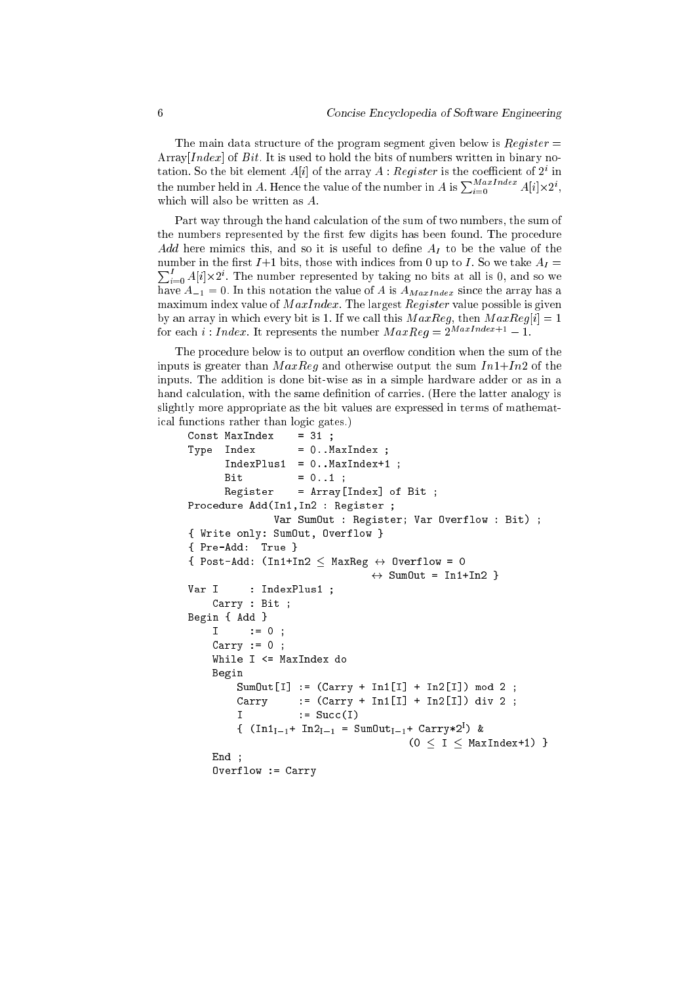The main data structure of the program segment given below is  $Register =$ Array [Index] of Bit. It is used to hold the bits of numbers written in binary notation. So the bit element  $A[t]$  of the array  $A$  :  ${\mathcal{H}}{eq}\iota {\mathcal{S}}{\mathcal{E}}{t}$  is the coefficient of  $Z^*$  in the number held in A. Hence the value of the number in A is  $\sum_{i=0}^{MaxImage} A[i] \times 2^i$ , which will also be written as A.

Part way through the hand calculation of the sum of two numbers, the sum of the numbers represented by the first few digits has been found. The procedure Add here mimics this, and so it is useful to define  $A_I$  to be the value of the  $\sum_{i=0}^{I} A[i] \times 2^{i}$ . The number represented by taking no bits at all is 0, and so we number in the first  $I+1$  bits, those with indices from 0 up to I. So we take  $A_I =$ have  $A_{-1} = 0$ . In this notation the value of A is  $A_{MaxIndex}$  since the array has a maximum index value of  $MaxIndex$ . The largest Register value possible is given by an array in which every bit is 1. If we call this  $MaxReg$ , then  $MaxReg[i] = 1$ for each *i* : *Index*. It represents the number  $MaxReg = 2^{MaxIndex+1} - 1$ .

The procedure below is to output an overflow condition when the sum of the inputs is greater than  $MaxReg$  and otherwise output the sum  $In1+In2$  of the inputs. The addition is done bit-wise as in a simple hardware adder or as in a hand calculation, with the same definition of carries. (Here the latter analogy is slightly more appropriate as the bit values are expressed in terms of mathemati
al fun
tions rather than logi gates.)

```
Const MaxIndex = 31;
Type Index = 0..MaxIndex ;
       IndexPlus1 = 0. . MaxIndex+1;Bit
                     = 0.1;
       Register = Array[Index] of Bit ;Pro
edure Add(In1,In2 : Register ;
                Var SumOut : Register; Var Overflow : Bit) ;
{ Write only: SumOut, Overflow }
{ Pre-Add: True }
{ Post-Add: (In1+In2 \leq \text{MaxReg } \leftrightarrow \text{Overflow} = 0\leftrightarrow SumOut = In1+In2 }
Var I : IndexPlus1 ;
    Carry : Bit ;
Begin { Add }
    I \qquad := 0Carry := 0 ;
    While I <= MaxIndex do
    Begin
         SumOut[I] := (Carry + In1[I] + In2[I]) mod 2 ;Carry := (Carry + In1[I] + In2[I]) div 2;
         \mathsf{T}:= Succ(I)
         {\mathfrak t} (InI_{\mathfrak{l}-1}+ InZ_{\mathfrak{l}-1} = SumUu{\mathfrak v}_{\mathfrak{l}-1}+ Carry*Z ) &
                                          (0 < I < MaxIndex+1) }
    Find:End ;
     Overflow := Carry
```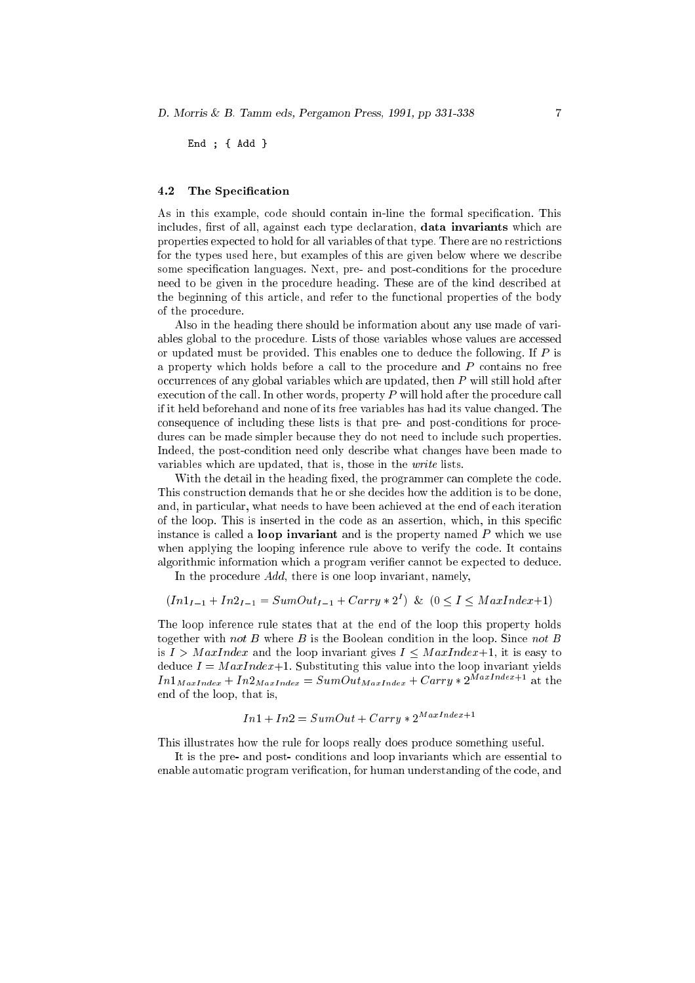End ; { Add }

#### $4.2$ The Specification

As in this example, code should contain in-line the formal specification. This includes, first of all, against each type declaration, data invariants which are properties expe
ted to hold for all variables of that type. There are no restri
tions for the types used here, but examples of this are given below where we des
ribe some specification languages. Next, pre- and post-conditions for the procedure need to be given in the pro
edure heading. These are of the kind des
ribed at the beginning of this arti
le, and refer to the fun
tional properties of the body of the pro
edure.

Also in the heading there should be information about any use made of variables global to the procedure. Lists of those variables whose values are accessed or updated must be provided. This enables one to deduce the following. If  $P$  is a property which holds before a call to the procedure and  $P$  contains no free occurrences of any global variables which are updated, then P will still hold after execution of the call. In other words, property  $P$  will hold after the procedure call if it held beforehand and none of its free variables has had its value hanged. The onsequen
e of in
luding these lists is that pre- and postonditions for pro
edures can be made simpler because they do not need to include such properties. Indeed, the postondition need only des
ribe what hanges have been made to variables which are updated, that is, those in the *write* lists.

With the detail in the heading fixed, the programmer can complete the code. This construction demands that he or she decides how the addition is to be done, and, in particular, what needs to have been achieved at the end of each iteration of the loop. This is inserted in the ode as an assertion, whi
h, in this spe
i instance is called a **loop invariant** and is the property named  $P$  which we use when applying the looping inference rule above to verify the code. It contains algorithmic information which a program verifier cannot be expected to deduce.

In the procedure *Add*, there is one loop invariant, namely,

$$
(In1_{I-1} + In2_{I-1} = SumOut_{I-1} + Carry * 2I)
$$
 &  $(0 \le I \le MaxIndex+1)$ 

The loop inferen
e rule states that at the end of the loop this property holds together with not B where B is the Boolean condition in the loop. Since not B is  $I > \text{MaxIndex}$  and the loop invariant gives  $I < \text{MaxIndex}+1$ , it is easy to deduce  $I = \text{MaxIndex}+1$ . Substituting this value into the loop invariant yields  $In1_{MaxIndex} + In2_{MaxIndex} = SumOutMaxIndex} + Carry * 2^{\bar{M}axIndex+1}$  at the end of the loop, that is,

$$
In1 + In2 = SumOut + Carru * 2^{MaxIndex+1}
$$

This illustrates how the rule for loops really does produ
e something useful.

It is the pre- and post- onditions and loop invariants whi
h are essential to enable automatic program verification, for human understanding of the code, and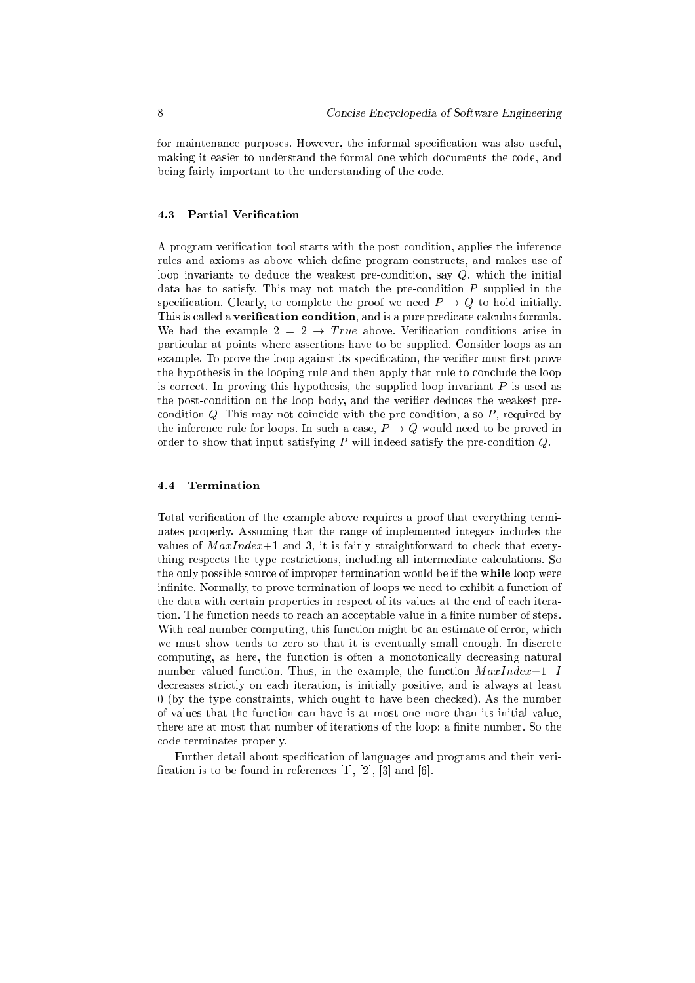for maintenance purposes. However, the informal specification was also useful, making it easier to understand the formal one which documents the code, and being fairly important to the understanding of the ode.

#### 4.3 Partial Verification

A program verification tool starts with the post-condition, applies the inference rules and axioms as above which define program constructs, and makes use of loop invariants to deduce the weakest pre-condition, say Q, which the initial data has to satisfy. This may not match the pre-condition  $P$  supplied in the specification. Clearly, to complete the proof we need  $P \rightarrow Q$  to hold initially. This is called a verification condition, and is a pure predicate calculus formula. We had the example  $2 = 2 \rightarrow True$  above. Verification conditions arise in parti
ular at points where assertions have to be supplied. Consider loops as an example. To prove the loop against its specification, the verifier must first prove the hypothesis in the looping rule and then apply that rule to conclude the loop is correct. In proving this hypothesis, the supplied loop invariant  $P$  is used as the post-condition on the loop body, and the verifier deduces the weakest precondition  $Q$ . This may not coincide with the pre-condition, also  $P$ , required by the inference rule for loops. In such a case,  $P \to Q$  would need to be proved in order to show that input satisfying  $P$  will indeed satisfy the pre-condition  $Q$ .

Total verification of the example above requires a proof that everything terminates properly. Assuming that the range of implemented integers in
ludes the values of  $MaxIndex+1$  and 3, it is fairly straightforward to check that everything respects the type restrictions, including all intermediate calculations. So the only possible source of improper termination would be if the **while** loop were infinite. Normally, to prove termination of loops we need to exhibit a function of the data with ertain properties in respe
t of its values at the end of ea
h iteration. The function needs to reach an acceptable value in a finite number of steps. With real number computing, this function might be an estimate of error, which we must show tends to zero so that it is eventually small enough. In discrete computing, as here, the function is often a monotonically decreasing natural number valued function. Thus, in the example, the function  $MaxIndex+1-I$ decreases strictly on each iteration, is initially positive, and is always at least 0 (by the type constraints, which ought to have been checked). As the number of values that the fun
tion an have is at most one more than its initial value, there are at most that number of iterations of the loop: a finite number. So the ode terminates properly.

Further detail about specification of languages and programs and their verification is to be found in references  $[1]$ ,  $[2]$ ,  $[3]$  and  $[6]$ .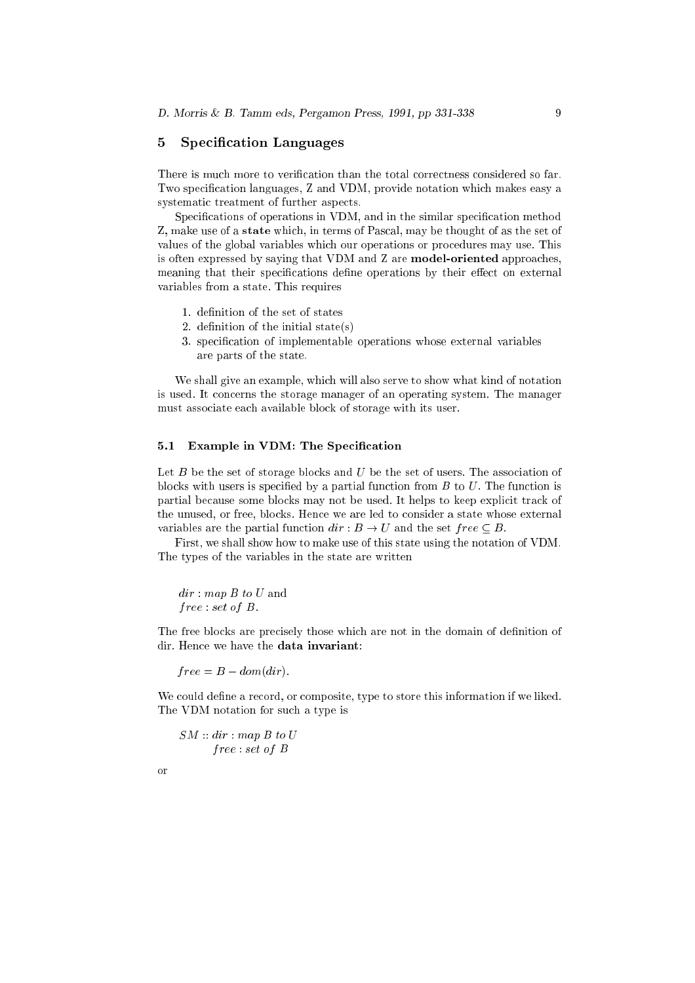### 5 Specification Languages

There is much more to verification than the total correctness considered so far. Two specification languages, Z and VDM, provide notation which makes easy a systematic treatment of further aspects.

Specifications of operations in VDM, and in the similar specification method Z, make use of a state which, in terms of Pascal, may be thought of as the set of values of the global variables whi
h our operations or pro
edures may use. This is often expressed by saying that VDM and Z are **model-oriented** approaches, meaning that their specifications define operations by their effect on external variables from a state. This requires

- 1. definition of the set of states
- 2. definition of the initial state $(s)$
- 3. specification of implementable operations whose external variables are parts of the state.

We shall give an example, which will also serve to show what kind of notation is used. It concerns the storage manager of an operating system. The manager must asso
iate ea
h available blo
k of storage with its user.

### 5.1 Example in VDM: The Specification

Let  $B$  be the set of storage blocks and  $U$  be the set of users. The association of blocks with users is specified by a partial function from  $B$  to  $U$ . The function is partial because some blocks may not be used. It helps to keep explicit track of the unused, or free, blo
ks. Hen
e we are led to onsider a state whose external variables are the partial function  $dir : B \to U$  and the set  $free \subseteq B$ .

First, we shall show how to make use of this state using the notation of VDM. The types of the variables in the state are written

dir: map B to U and  $free: set of B.$ 

The free blocks are precisely those which are not in the domain of definition of dir. Hen
e we have the data invariant:

 $free = B - dom dir$ .

We could define a record, or composite, type to store this information if we liked. The VDM notation for su
h a type is

 $SM :: dir : map B to U$ f ree : set of B

or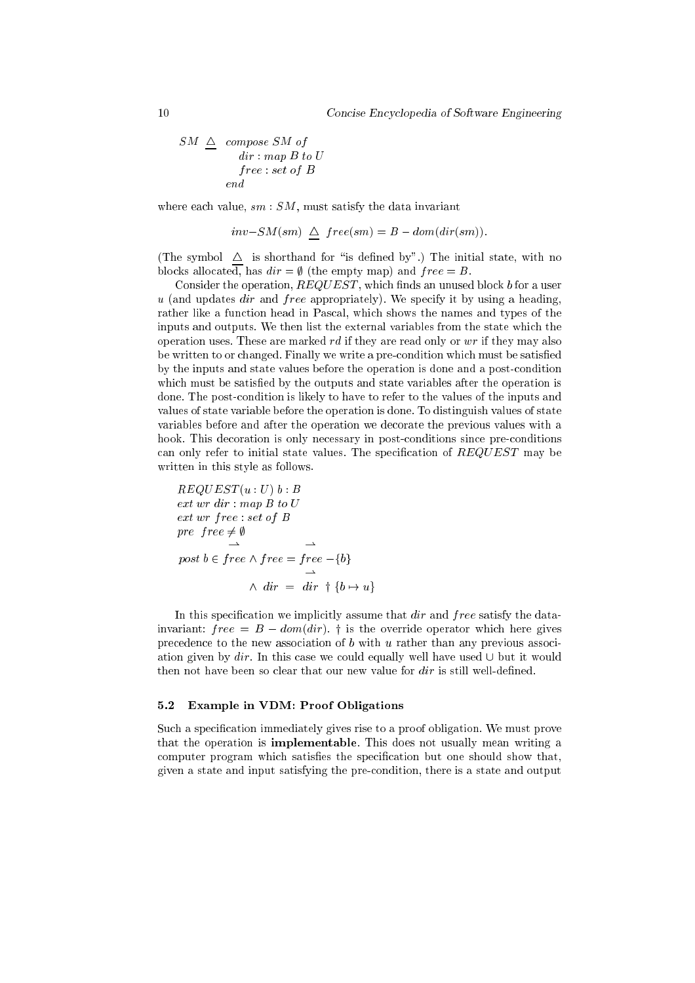$$
\begin{array}{rcl} SM & \underline{\triangle} & \textit{composite} \; SM \; \textit{of} \\ & \; dir: \mathit{map} \; B \; \textit{to} \; U \\ & \; free: \mathit{set} \; \textit{of} \; B \\ & \; end \end{array}
$$

where each value,  $sm:SM$ , must satisfy the data invariant

$$
inv-SM(sm) \triangleq free(sm) = B - dom(dim)).
$$

(The symbol  $\Delta$  is shorthand for "is defined by".) The initial state, with no blocks allocated, has  $dir = \emptyset$  (the empty map) and  $free = B$ .

Consider the operation,  $REGUEST$ , which finds an unused block b for a user  $u$  (and updates  $dir$  and  $free$  appropriately). We specify it by using a heading, rather like a function head in Pascal, which shows the names and types of the inputs and outputs. We then list the external variables from the state whi
h the operation uses. These are marked  $rd$  if they are read only or  $wr$  if they may also be written to or changed. Finally we write a pre-condition which must be satisfied by the inputs and state values before the operation is done and a postondition which must be satisfied by the outputs and state variables after the operation is done. The postondition is likely to have to refer to the values of the inputs and values of state variable before the operation is done. To distinguish values of state variables before and after the operation we de
orate the previous values with a hook. This decoration is only necessary in post-conditions since pre-conditions can only refer to initial state values. The specification of  $REQUEST$  may be written in this style as follows.

$$
REQUEST(u: U) b : B
$$
  
ext wr dir : map B to U  
ext wr free : set of B  
pre  $free \neq \emptyset$   
 $\rightarrow$   
post b \in free \land free = free -{b}  
 $\rightarrow$   
 $\land$  dir = dir  $\dagger$  {b  $\rightarrow$  u}

In this specification we implicitly assume that dir and free satisfy the datainvariant:  $free = B - dom dir$ ). † is the override operator which here gives precedence to the new association of  $b$  with  $u$  rather than any previous association given by  $dir$ . In this case we could equally well have used  $\cup$  but it would then not have been so clear that our new value for  $dir$  is still well-defined.

#### 5.2 Example in VDM: Proof Obligations

Such a specification immediately gives rise to a proof obligation. We must prove that the operation is **implementable**. This does not usually mean writing a computer program which satisfies the specification but one should show that, given a state and input satisfying the preondition, there is a state and output

 $10$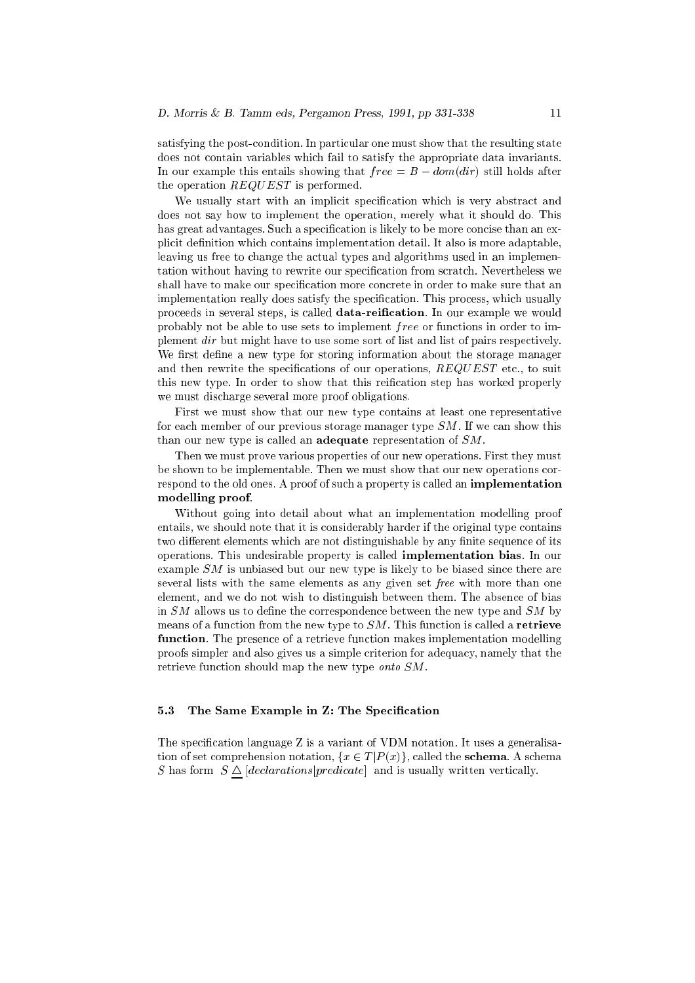satisfying the post-condition. In particular one must show that the resulting state does not ontain variables whi
h fail to satisfy the appropriate data invariants. In our example this entails showing that  $free = B - dom dir)$  still holds after the operation  $REQUEST$  is performed.

We usually start with an implicit specification which is very abstract and does not say how to implement the operation, merely what it should do. This has great advantages. Such a specification is likely to be more concise than an explicit definition which contains implementation detail. It also is more adaptable, leaving us free to change the actual types and algorithms used in an implementation without having to rewrite our specification from scratch. Nevertheless we shall have to make our specification more concrete in order to make sure that an implementation really does satisfy the specification. This process, which usually proceeds in several steps, is called data-reification. In our example we would probably not be able to use sets to implement *free* or functions in order to implement dir but might have to use some sort of list and list of pairs respectively. We first define a new type for storing information about the storage manager and then rewrite the specifications of our operations,  $REQUEST$  etc., to suit this new type. In order to show that this reification step has worked properly we must dis
harge several more proof obligations.

First we must show that our new type ontains at least one representative for each member of our previous storage manager type  $SM$ . If we can show this than our new type is called an adequate representation of  $SM$ .

Then we must prove various properties of our new operations. First they must be shown to be implementable. Then we must show that our new operations orrespond to the old ones. A proof of such a property is called an implementation modelling proof.

Without going into detail about what an implementation modelling proof entails, we should note that it is onsiderably harder if the original type ontains two different elements which are not distinguishable by any finite sequence of its operations. This undesirable property is alled implementation bias. In our example  $SM$  is unbiased but our new type is likely to be biased since there are several lists with the same elements as any given set free with more than one element, and we do not wish to distinguish between them. The absen
e of bias in  $SM$  allows us to define the correspondence between the new type and  $SM$  by means of a function from the new type to  $SM$ . This function is called a **retrieve** function. The presence of a retrieve function makes implementation modelling proofs simpler and also gives us a simple criterion for adequacy, namely that the retrieve function should map the new type onto SM.

#### 5.3 The Same Example in Z: The Specification

The specification language Z is a variant of VDM notation. It uses a generalisation of set comprehension notation,  $\{x \in T | P(x)\}\$ , called the **schema**. A schema S has form  $S \triangle [declarations] predicate]$  and is usually written vertically.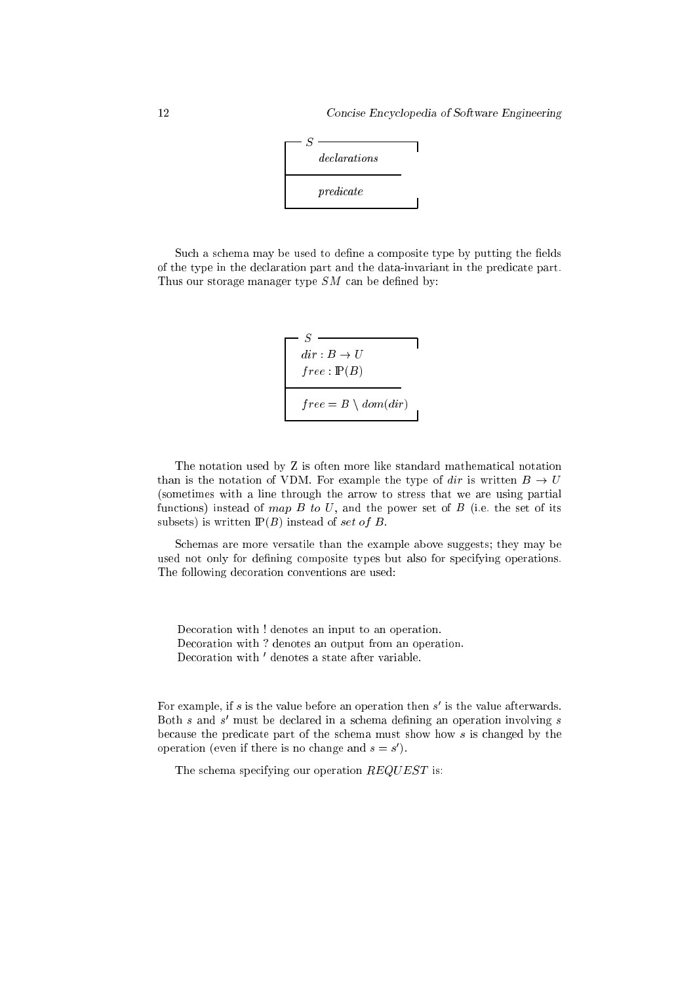

Such a schema may be used to define a composite type by putting the fields of the type in the de
laration part and the data-invariant in the predi
ate part. Thus our storage manager type  $SM$  can be defined by:

$$
S
$$
\n
$$
dir: B \to U
$$
\n
$$
free: \mathbb{P}(B)
$$
\n
$$
free = B \setminus dom(div)
$$

The notation used by Z is often more like standard mathemati
al notation than is the notation of VDM. For example the type of dir is written  $B \to U$ (sometimes with a line through the arrow to stress that we are using partial functions) instead of map  $B$  to  $U$ , and the power set of  $B$  (i.e. the set of its subsets) is written  $\mathbb{P}(B)$  instead of set of B.

S
hemas are more versatile than the example above suggests; they may be used not only for defining composite types but also for specifying operations. The following de
oration onventions are used:

Decoration with ! denotes an input to an operation. Decoration with ? denotes an output from an operation. De
oration with <sup>0</sup> denotes a state after variable.

For example, if  $s$  is the value before an operation then  $s$  -is the value afterwards.  $\mathop{\mathrm{Both}}\limits$  s and  $\bar{s}$  must be declared in a schema defining an operation involving  $\bar{s}$ because the predicate part of the schema must show how s is changed by the operation (even if there is no change and  $s = s$  ).

The schema specifying our operation  $REQUEST$  is: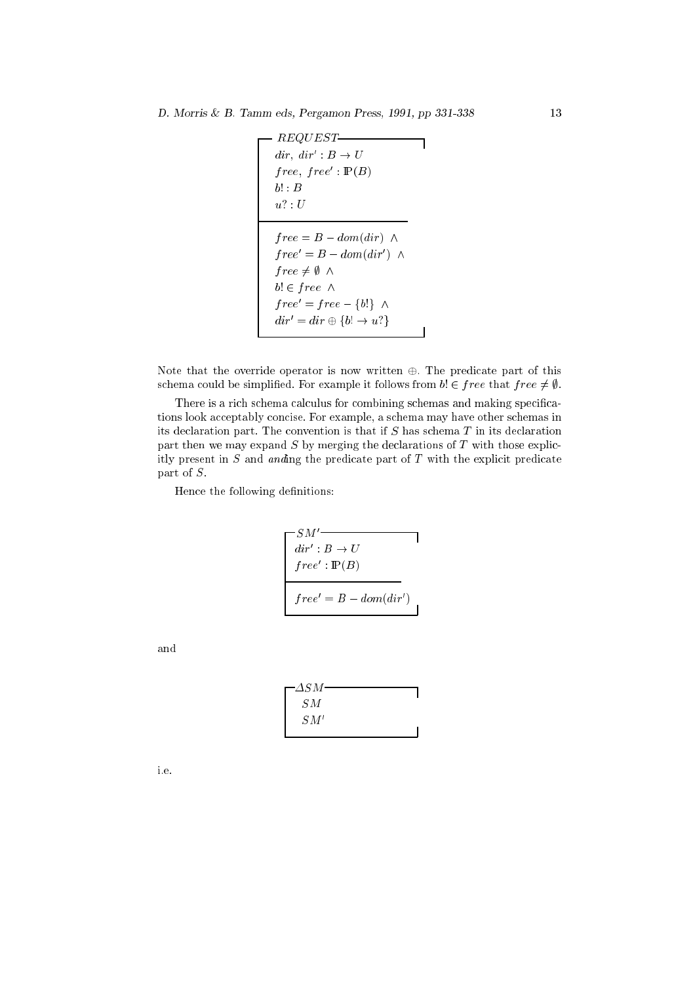```
REQUEST
air, \, arr: D \rightarrow U\textit{tree}, \textit{tree} : \mathbb{F}(D)f references to the B domain \mathcal{C}\text{tree} = B - \text{dom}( \text{arr} )\cdots . \cdots . \cdotsb! 2 f ree ^
tree = tree - 30! A
air = arr \leftrightarrow 30: \rightarrow u.
```
Note that the override operator is now written  $\oplus$ . The predicate part of this schema could be simplified. For example it follows from  $b \in free$  that  $free \neq \emptyset$ .

There is a rich schema calculus for combining schemas and making specifications look acceptably concise. For example, a schema may have other schemas in its de
laration part. The onvention is that if S has s
hema T in its de
laration part then we may expand  $S$  by merging the declarations of  $T$  with those explicitly present in  $S$  and anding the predicate part of  $T$  with the explicit predicate part of S.

Hence the following definitions:

$$
\begin{bmatrix}\nSM' \\
\frac{dir': B \to U}{free': \mathbb{P}(B)} \\
\frac{free': \mathbb{P}(B)}{free' = B - dom dir'}\n\end{bmatrix}
$$

and



i.e.